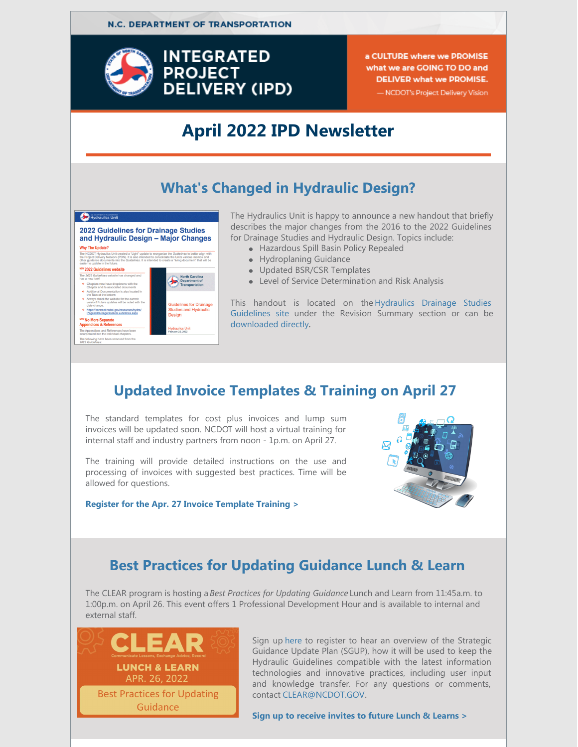

a CULTURE where we PROMISE what we are GOING TO DO and **DELIVER what we PROMISE.** 

#### - NCDOT's Project Delivery Vision

## **April 2022 IPD Newsletter**

#### **What's Changed in Hydraulic Design?**



The Hydraulics Unit is happy to announce a new handout that briefly describes the major changes from the 2016 to the 2022 Guidelines for Drainage Studies and Hydraulic Design. Topics include:

- Hazardous Spill Basin Policy Repealed
- Hydroplaning Guidance
- Updated BSR/CSR Templates
- Level of Service Determination and Risk Analysis

This handout is located on the Hydraulics Drainage Studies [Guidelines](https://connect.ncdot.gov/resources/hydro/Pages/DrainageStudiesGuidelines.aspx) site under the Revision Summary section or can be [downloaded](https://connect.ncdot.gov/resources/hydro/DrainageStudiesGuidelines/NCDOT 2022 Guidelines Fact Sheet.pdf) directly.

# **Updated Invoice Templates & Training on April 27**

The standard templates for cost plus invoices and lump sum invoices will be updated soon. NCDOT will host a virtual training for internal staff and industry partners from noon - 1p.m. on April 27.

The training will provide detailed instructions on the use and processing of invoices with suggested best practices. Time will be allowed for questions.

**Register for the Apr. 27 Invoice [Template](https://attendee.gotowebinar.com/register/3021646391963124495) Training >**



## **Best Practices for Updating Guidance Lunch & Learn**

The CLEAR program is hosting a *Best Practices for Updating Guidance* Lunch and Learn from 11:45a.m. to 1:00p.m. on April 26. This event offers 1 Professional Development Hour and is available to internal and external staff.



Sign up [here](https://forms.office.com/pages/responsepage.aspx?id=3IF2etC5mkSFw-zCbNftGS0lDpPJNEhPrSjot1i2cfNUN1NHTVI3REZTRkswSzNZTFpaTTRFOUFQVC4u) to register to hear an overview of the Strategic Guidance Update Plan (SGUP), how it will be used to keep the Hydraulic Guidelines compatible with the latest information technologies and innovative practices, including user input and knowledge transfer. For any questions or comments, contact [CLEAR@NCDOT.GOV](mailto:CLEAR@NCDOT.GOV).

**Sign up to [receive](https://forms.office.com/g/mCLxYtNifR) invites to future Lunch & Learns >**